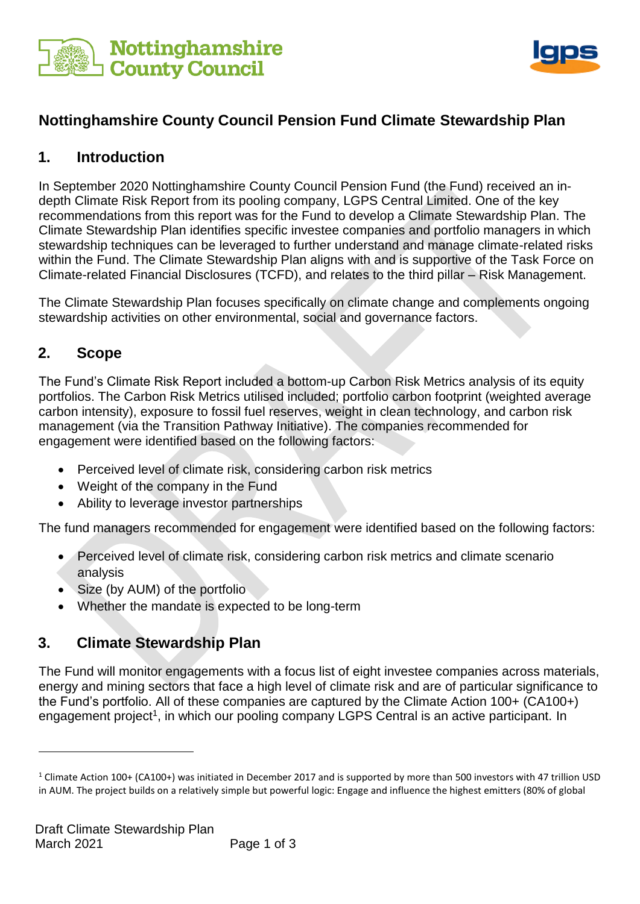



# **Nottinghamshire County Council Pension Fund Climate Stewardship Plan**

#### **1. Introduction**

In September 2020 Nottinghamshire County Council Pension Fund (the Fund) received an indepth Climate Risk Report from its pooling company, LGPS Central Limited. One of the key recommendations from this report was for the Fund to develop a Climate Stewardship Plan. The Climate Stewardship Plan identifies specific investee companies and portfolio managers in which stewardship techniques can be leveraged to further understand and manage climate-related risks within the Fund. The Climate Stewardship Plan aligns with and is supportive of the Task Force on Climate-related Financial Disclosures (TCFD), and relates to the third pillar – Risk Management.

The Climate Stewardship Plan focuses specifically on climate change and complements ongoing stewardship activities on other environmental, social and governance factors.

### **2. Scope**

1

The Fund's Climate Risk Report included a bottom-up Carbon Risk Metrics analysis of its equity portfolios. The Carbon Risk Metrics utilised included; portfolio carbon footprint (weighted average carbon intensity), exposure to fossil fuel reserves, weight in clean technology, and carbon risk management (via the Transition Pathway Initiative). The companies recommended for engagement were identified based on the following factors:

- Perceived level of climate risk, considering carbon risk metrics
- Weight of the company in the Fund
- Ability to leverage investor partnerships

The fund managers recommended for engagement were identified based on the following factors:

- Perceived level of climate risk, considering carbon risk metrics and climate scenario analysis
- Size (by AUM) of the portfolio
- Whether the mandate is expected to be long-term

### **3. Climate Stewardship Plan**

The Fund will monitor engagements with a focus list of eight investee companies across materials, energy and mining sectors that face a high level of climate risk and are of particular significance to the Fund's portfolio. All of these companies are captured by the Climate Action 100+ (CA100+) engagement project<sup>1</sup>, in which our pooling company LGPS Central is an active participant. In

<sup>1</sup> Climate Action 100+ (CA100+) was initiated in December 2017 and is supported by more than 500 investors with 47 trillion USD in AUM. The project builds on a relatively simple but powerful logic: Engage and influence the highest emitters (80% of global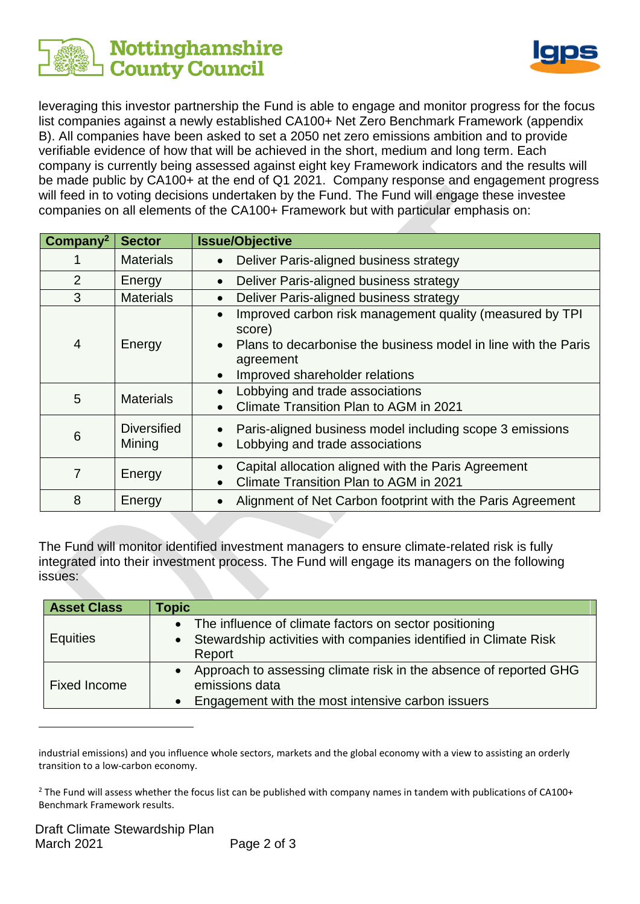



leveraging this investor partnership the Fund is able to engage and monitor progress for the focus list companies against a newly established CA100+ Net Zero Benchmark Framework (appendix B). All companies have been asked to set a 2050 net zero emissions ambition and to provide verifiable evidence of how that will be achieved in the short, medium and long term. Each company is currently being assessed against eight key Framework indicators and the results will be made public by CA100+ at the end of Q1 2021. Company response and engagement progress will feed in to voting decisions undertaken by the Fund. The Fund will engage these investee companies on all elements of the CA100+ Framework but with particular emphasis on:

| Company <sup>2</sup> | <b>Sector</b>                | <b>Issue/Objective</b>                                                                                                                                                              |
|----------------------|------------------------------|-------------------------------------------------------------------------------------------------------------------------------------------------------------------------------------|
|                      | <b>Materials</b>             | Deliver Paris-aligned business strategy                                                                                                                                             |
| $\overline{2}$       | Energy                       | Deliver Paris-aligned business strategy                                                                                                                                             |
| 3                    | <b>Materials</b>             | Deliver Paris-aligned business strategy                                                                                                                                             |
| 4                    | Energy                       | Improved carbon risk management quality (measured by TPI<br>score)<br>Plans to decarbonise the business model in line with the Paris<br>agreement<br>Improved shareholder relations |
| 5                    | <b>Materials</b>             | Lobbying and trade associations<br>Climate Transition Plan to AGM in 2021                                                                                                           |
| 6                    | <b>Diversified</b><br>Mining | Paris-aligned business model including scope 3 emissions<br>Lobbying and trade associations                                                                                         |
| 7                    | Energy                       | Capital allocation aligned with the Paris Agreement<br>Climate Transition Plan to AGM in 2021                                                                                       |
| 8                    | Energy                       | Alignment of Net Carbon footprint with the Paris Agreement                                                                                                                          |

The Fund will monitor identified investment managers to ensure climate-related risk is fully integrated into their investment process. The Fund will engage its managers on the following issues:

| <b>Asset Class</b>  | Topic                                                                                                                                                 |
|---------------------|-------------------------------------------------------------------------------------------------------------------------------------------------------|
| <b>Equities</b>     | The influence of climate factors on sector positioning<br>$\bullet$<br>Stewardship activities with companies identified in Climate Risk<br>Report     |
| <b>Fixed Income</b> | Approach to assessing climate risk in the absence of reported GHG<br>$\bullet$<br>emissions data<br>Engagement with the most intensive carbon issuers |

industrial emissions) and you influence whole sectors, markets and the global economy with a view to assisting an orderly transition to a low-carbon economy.

<sup>2</sup> The Fund will assess whether the focus list can be published with company names in tandem with publications of CA100+ Benchmark Framework results.

1